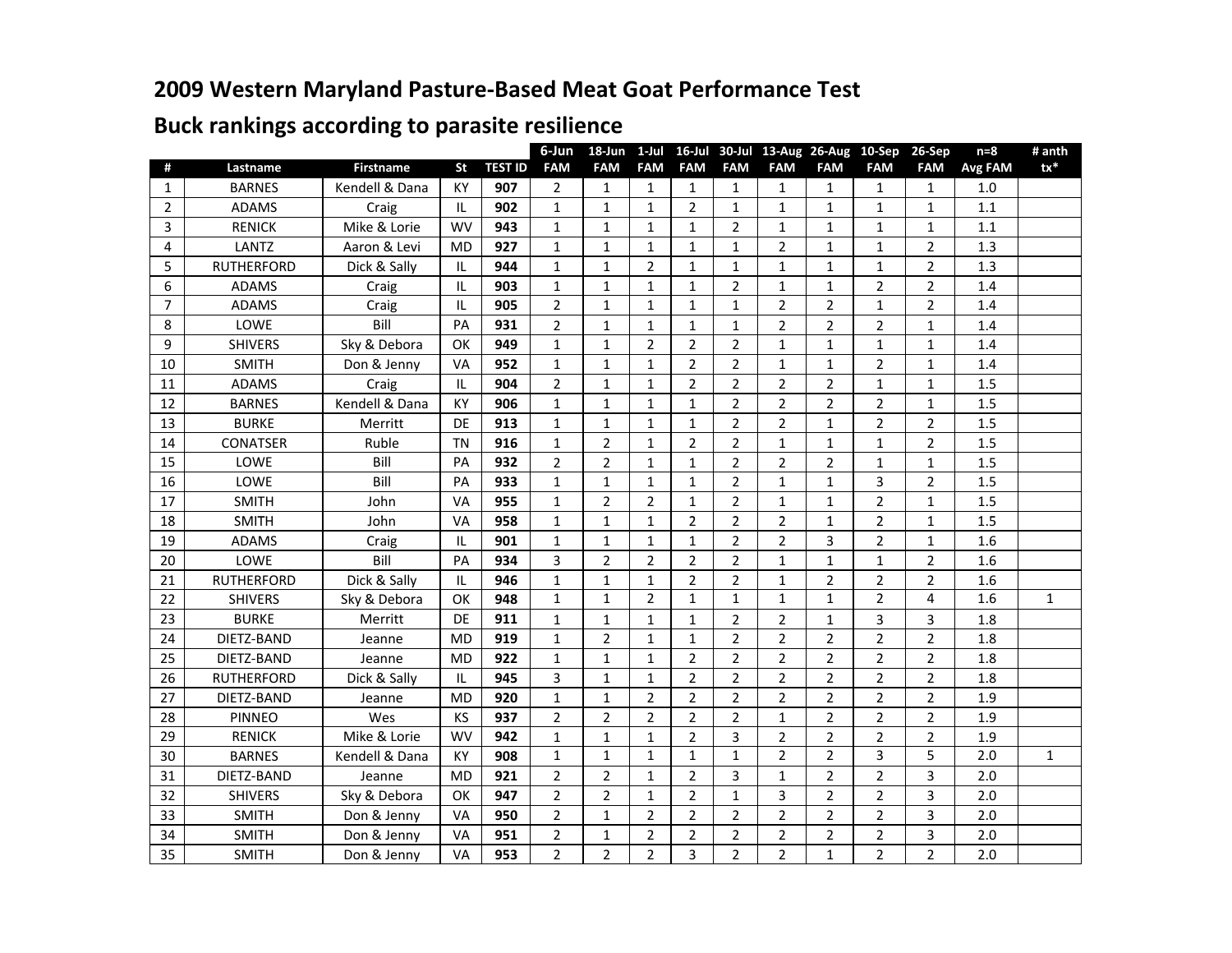## **2009 Western Maryland Pasture-Based Meat Goat Performance Test**

| #<br><b>Firstname</b><br><b>TEST ID</b><br><b>FAM</b><br><b>FAM</b><br><b>FAM</b><br><b>FAM</b><br>Lastname<br>St<br><b>FAM</b><br><b>FAM</b><br><b>FAM</b><br><b>FAM</b><br><b>FAM</b><br>Avg FAM<br>$\mathbf{1}$<br><b>KY</b><br>907<br>$\overline{2}$<br>$\mathbf{1}$<br><b>BARNES</b><br>Kendell & Dana<br>$\mathbf{1}$<br>1<br>$\mathbf{1}$<br>$\mathbf{1}$<br>1<br>$\mathbf{1}$<br>1<br>1.0<br>902 | $tx^*$       |
|----------------------------------------------------------------------------------------------------------------------------------------------------------------------------------------------------------------------------------------------------------------------------------------------------------------------------------------------------------------------------------------------------------|--------------|
|                                                                                                                                                                                                                                                                                                                                                                                                          |              |
|                                                                                                                                                                                                                                                                                                                                                                                                          |              |
| $\overline{2}$<br>$\mathbf 1$<br>$\overline{2}$<br>1.1<br>ADAMS<br>IL.<br>$\mathbf{1}$<br>$\mathbf{1}$<br>$\mathbf{1}$<br>$\mathbf{1}$<br>$\mathbf{1}$<br>$\mathbf{1}$<br>$\mathbf{1}$<br>Craig                                                                                                                                                                                                          |              |
| Mike & Lorie<br><b>WV</b><br>943<br>$\mathbf 1$<br>$\mathbf 1$<br>$\overline{2}$<br>1.1<br>3<br><b>RENICK</b><br>$\mathbf{1}$<br>$\mathbf{1}$<br>$\mathbf{1}$<br>$\mathbf{1}$<br>$\mathbf{1}$<br>$\mathbf{1}$                                                                                                                                                                                            |              |
| <b>LANTZ</b><br>Aaron & Levi<br>927<br>4<br><b>MD</b><br>$\mathbf 1$<br>$\mathbf 1$<br>$\overline{2}$<br>$\overline{2}$<br>1.3<br>$\mathbf{1}$<br>$\mathbf 1$<br>$\mathbf{1}$<br>$\mathbf{1}$<br>$\mathbf{1}$                                                                                                                                                                                            |              |
| $\overline{2}$<br>5<br><b>RUTHERFORD</b><br>Dick & Sally<br>944<br>$\mathbf 1$<br>$\mathbf{1}$<br>$\mathbf{1}$<br>$\overline{2}$<br>1.3<br>IL<br>$\mathbf{1}$<br>$\mathbf{1}$<br>$\mathbf{1}$<br>$\mathbf{1}$                                                                                                                                                                                            |              |
| $\overline{2}$<br>$\overline{2}$<br>$\overline{2}$<br>6<br><b>ADAMS</b><br>IL<br>903<br>$\mathbf{1}$<br>$\mathbf{1}$<br>$\mathbf{1}$<br>$\mathbf{1}$<br>$\mathbf{1}$<br>1.4<br>$\mathbf{1}$<br>Craig                                                                                                                                                                                                     |              |
| $\overline{2}$<br>$\mathbf 1$<br>$\overline{2}$<br>$\overline{2}$<br>$\overline{2}$<br>$\overline{7}$<br>$\mathbf{1}$<br>$\mathbf{1}$<br>$\mathbf{1}$<br>$\mathbf{1}$<br>1.4<br>ADAMS<br>IL.<br>905<br>Craig                                                                                                                                                                                             |              |
| Bill<br>$\overline{2}$<br>$\overline{2}$<br>$\overline{2}$<br>$\overline{2}$<br>8<br>LOWE<br>PA<br>931<br>$\mathbf{1}$<br>$\mathbf{1}$<br>1.4<br>1<br>1<br>1                                                                                                                                                                                                                                             |              |
| $\overline{2}$<br>9<br>Sky & Debora<br>$\overline{2}$<br><b>SHIVERS</b><br>OK<br>949<br>$\mathbf 1$<br>$\mathbf 1$<br>$\overline{2}$<br>$\mathbf 1$<br>$\mathbf 1$<br>$\mathbf{1}$<br>$\mathbf{1}$<br>1.4                                                                                                                                                                                                |              |
| $\mathbf 1$<br>$\overline{2}$<br>$\overline{2}$<br>952<br>$\mathbf 1$<br>$\mathbf 1$<br>$\overline{2}$<br>$\mathbf{1}$<br><b>SMITH</b><br>Don & Jenny<br>VA<br>$\mathbf{1}$<br>$\mathbf{1}$<br>1.4<br>10                                                                                                                                                                                                 |              |
| $\overline{2}$<br>$\mathbf 1$<br>$\overline{2}$<br>$\overline{2}$<br>$\overline{2}$<br>$\overline{2}$<br>904<br>$\mathbf 1$<br>$\mathbf 1$<br>1.5<br>ADAMS<br>IL<br>$\mathbf{1}$<br>11<br>Craig                                                                                                                                                                                                          |              |
| $\mathbf 1$<br>$\overline{2}$<br>$\overline{2}$<br>$\overline{2}$<br>$\overline{2}$<br>Kendell & Dana<br>$\mathbf{1}$<br>$\mathbf{1}$<br>1.5<br>12<br><b>BARNES</b><br>KY<br>906<br>$\mathbf{1}$<br>$\mathbf{1}$                                                                                                                                                                                         |              |
| $\mathbf 1$<br>$\overline{2}$<br>$\overline{2}$<br>$\overline{2}$<br>13<br><b>BURKE</b><br>DE<br>913<br>$\mathbf{1}$<br>$\mathbf{1}$<br>$\mathbf{1}$<br>$\mathbf{1}$<br>$\overline{2}$<br>1.5<br>Merritt                                                                                                                                                                                                 |              |
| Ruble<br>$\overline{2}$<br>$\mathbf 1$<br><b>CONATSER</b><br><b>TN</b><br>916<br>$\overline{2}$<br>$\overline{2}$<br>$\overline{2}$<br>1.5<br>14<br>$\mathbf{1}$<br>$\mathbf{1}$<br>$\mathbf{1}$<br>$\mathbf{1}$                                                                                                                                                                                         |              |
| $\overline{2}$<br>$\overline{2}$<br>$\mathbf 1$<br>$\overline{2}$<br>LOWE<br>Bill<br>932<br>$\mathbf{1}$<br>$\overline{2}$<br>$\overline{2}$<br>$\mathbf{1}$<br>$\mathbf{1}$<br>1.5<br>15<br>PA                                                                                                                                                                                                          |              |
| LOWE<br>Bill<br>933<br>$\mathbf{1}$<br>$\overline{2}$<br>3<br>$\overline{2}$<br>16<br>PA<br>$\mathbf{1}$<br>$\mathbf{1}$<br>$\mathbf{1}$<br>$\mathbf{1}$<br>$\mathbf{1}$<br>1.5                                                                                                                                                                                                                          |              |
| $\overline{2}$<br>$\overline{2}$<br>$\overline{2}$<br>$\overline{2}$<br>$\mathbf{1}$<br>$\mathbf{1}$<br>1.5<br>17<br><b>SMITH</b><br>VA<br>955<br>$\mathbf{1}$<br>$\mathbf{1}$<br>$\mathbf{1}$<br>John                                                                                                                                                                                                   |              |
| $\overline{2}$<br>$\mathbf 1$<br>$\overline{2}$<br>$\overline{2}$<br><b>SMITH</b><br>958<br>$\mathbf{1}$<br>$\mathbf{1}$<br>$\overline{2}$<br>$\mathbf{1}$<br>$\mathbf{1}$<br>1.5<br>18<br>John<br>VA                                                                                                                                                                                                    |              |
| $\mathbf 1$<br>$\overline{2}$<br>3<br>$\overline{2}$<br>19<br>ADAMS<br>901<br>$\mathbf 1$<br>$\overline{2}$<br>Craig<br>IL<br>$\mathbf{1}$<br>$\mathbf{1}$<br>$\mathbf{1}$<br>1.6                                                                                                                                                                                                                        |              |
| $\overline{3}$<br>$\overline{2}$<br>$\overline{2}$<br>$\overline{2}$<br>LOWE<br>Bill<br>934<br>$\overline{2}$<br>$\mathbf{1}$<br>$\mathbf 1$<br>$\overline{2}$<br>1.6<br>20<br>PA<br>$\mathbf{1}$                                                                                                                                                                                                        |              |
| $\overline{2}$<br>$\overline{2}$<br>Dick & Sally<br>946<br>$\mathbf{1}$<br>$\overline{2}$<br>$\overline{2}$<br>$\overline{2}$<br>1.6<br>21<br><b>RUTHERFORD</b><br>$\mathbf{1}$<br>$\mathbf 1$<br>$\mathbf{1}$<br>IL                                                                                                                                                                                     |              |
| $\overline{2}$<br>$\overline{2}$<br>$\mathbf{1}$<br>$\mathbf{1}$<br>$\mathbf{1}$<br>$\mathbf{1}$<br>4<br>1.6<br>$\mathbf{1}$<br>$\mathbf{1}$<br>22<br><b>SHIVERS</b><br>Sky & Debora<br>OK<br>948                                                                                                                                                                                                        | $\mathbf{1}$ |
| 3<br>23<br><b>BURKE</b><br>911<br>$\mathbf{1}$<br>$\overline{2}$<br>$\overline{2}$<br>3<br>1.8<br>Merritt<br>DE<br>$\mathbf{1}$<br>$\mathbf{1}$<br>$\mathbf{1}$<br>$\mathbf{1}$                                                                                                                                                                                                                          |              |
| 919<br>24<br>DIETZ-BAND<br><b>MD</b><br>$\overline{2}$<br>$\overline{2}$<br>$\overline{2}$<br>$\overline{2}$<br>$\overline{2}$<br>1.8<br>Jeanne<br>$\mathbf{1}$<br>$\mathbf{1}$<br>$\overline{2}$<br>1                                                                                                                                                                                                   |              |
| 25<br>922<br>$\mathbf 1$<br>$\overline{2}$<br>$\overline{2}$<br>$\overline{2}$<br>$\overline{2}$<br>$\overline{2}$<br>$\overline{2}$<br>1.8<br>DIETZ-BAND<br>$\mathbf{1}$<br>$\mathbf{1}$<br>Jeanne<br>MD                                                                                                                                                                                                |              |
| 3<br>$\mathbf 1$<br>$\overline{2}$<br>$\overline{2}$<br>$\overline{2}$<br>$\overline{2}$<br>26<br>Dick & Sally<br>945<br>$\mathbf{1}$<br>$\overline{2}$<br>$\overline{2}$<br>1.8<br><b>RUTHERFORD</b><br>IL                                                                                                                                                                                              |              |
| $\overline{2}$<br>27<br>$\overline{2}$<br>$\overline{2}$<br>$\overline{2}$<br>$\overline{2}$<br>$\overline{2}$<br>DIETZ-BAND<br>920<br>$\mathbf{1}$<br>$\mathbf{1}$<br>2<br>1.9<br>Jeanne<br>MD                                                                                                                                                                                                          |              |
| $\overline{2}$<br>$\overline{2}$<br>Wes<br>$\overline{2}$<br>$\overline{2}$<br>$\overline{2}$<br>$\overline{2}$<br>$\overline{2}$<br>$\overline{2}$<br>1.9<br>28<br><b>PINNEO</b><br>KS<br>937<br>1                                                                                                                                                                                                      |              |
| 29<br>Mike & Lorie<br>$\overline{2}$<br><b>RENICK</b><br><b>WV</b><br>942<br>$\mathbf{1}$<br>$\mathbf{1}$<br>3<br>$\overline{2}$<br>$\overline{2}$<br>$\overline{2}$<br>2<br>1.9<br>1                                                                                                                                                                                                                    |              |
| $\overline{2}$<br>3<br>5<br>$\mathbf{1}$<br>$\mathbf{1}$<br>$\overline{2}$<br>2.0<br>30<br><b>BARNES</b><br>Kendell & Dana<br>908<br>1<br>1<br>$\mathbf{1}$<br>KY                                                                                                                                                                                                                                        | $\mathbf{1}$ |
| 31<br>$\overline{2}$<br>$\overline{2}$<br>$\mathbf{1}$<br>$\overline{2}$<br>3<br>$\overline{2}$<br>$\overline{2}$<br>DIETZ-BAND<br>MD<br>921<br>3<br>2.0<br>Jeanne<br>$\mathbf{1}$                                                                                                                                                                                                                       |              |
| 32<br><b>SHIVERS</b><br>Sky & Debora<br>OK<br>947<br>$\overline{2}$<br>$\overline{2}$<br>$\mathbf{1}$<br>2<br>$\mathbf{1}$<br>3<br>$\overline{2}$<br>$\overline{2}$<br>3<br>2.0                                                                                                                                                                                                                          |              |
| <b>SMITH</b><br>950<br>$\overline{2}$<br>$\overline{2}$<br>$\overline{2}$<br>$\overline{2}$<br>33<br>Don & Jenny<br><b>VA</b><br>$\mathbf{1}$<br>2<br>$\overline{2}$<br>$\overline{2}$<br>3<br>2.0                                                                                                                                                                                                       |              |
| 34<br><b>SMITH</b><br>951<br>$\overline{2}$<br>Don & Jenny<br>VA<br>$\overline{2}$<br>$\overline{2}$<br>$\overline{2}$<br>$\overline{2}$<br>$\overline{2}$<br>3<br>$\mathbf{1}$<br>2<br>2.0                                                                                                                                                                                                              |              |
| $\overline{2}$<br>$\overline{2}$<br>$\overline{2}$<br>$\overline{2}$<br>35<br>VA<br>953<br>3<br>$\overline{2}$<br>$\overline{2}$<br>$\overline{2}$<br>2.0<br><b>SMITH</b><br>Don & Jenny<br>$\mathbf{1}$                                                                                                                                                                                                 |              |

## **Buck rankings according to parasite resilience**